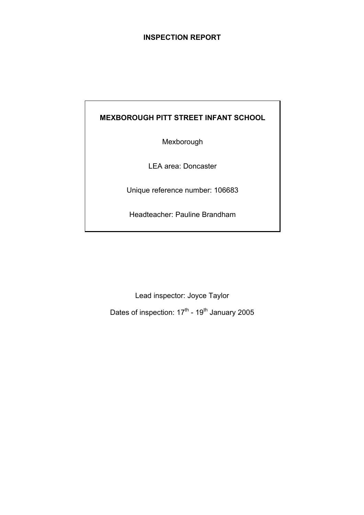### **INSPECTION REPORT**

## **MEXBOROUGH PITT STREET INFANT SCHOOL**

Mexborough

LEA area: Doncaster

Unique reference number: 106683

Headteacher: Pauline Brandham

Lead inspector: Joyce Taylor

Dates of inspection:  $17^{\text{th}}$  - 19<sup>th</sup> January 2005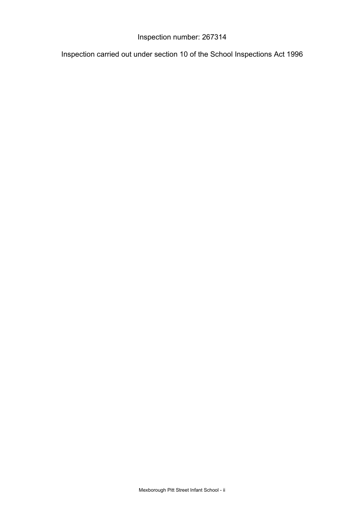## Inspection number: 267314

Inspection carried out under section 10 of the School Inspections Act 1996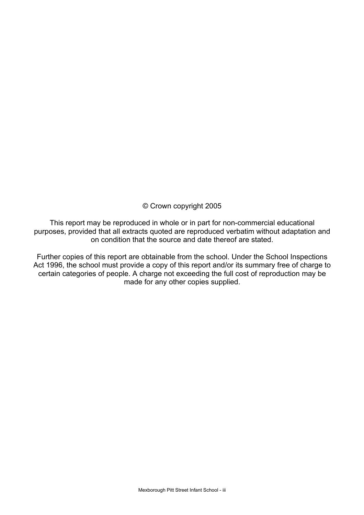© Crown copyright 2005

This report may be reproduced in whole or in part for non-commercial educational purposes, provided that all extracts quoted are reproduced verbatim without adaptation and on condition that the source and date thereof are stated.

Further copies of this report are obtainable from the school. Under the School Inspections Act 1996, the school must provide a copy of this report and/or its summary free of charge to certain categories of people. A charge not exceeding the full cost of reproduction may be made for any other copies supplied.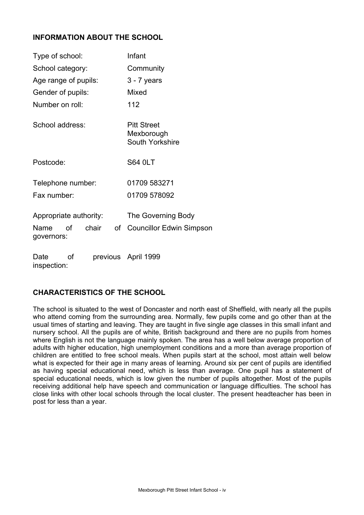### **INFORMATION ABOUT THE SCHOOL**

| Type of school:                              |    |       |           | Infant                                              |  |  |
|----------------------------------------------|----|-------|-----------|-----------------------------------------------------|--|--|
| School category:                             |    |       | Community |                                                     |  |  |
| Age range of pupils:                         |    |       |           | $3 - 7$ years                                       |  |  |
| Gender of pupils:                            |    |       |           | Mixed                                               |  |  |
| Number on roll:                              |    |       |           | 112                                                 |  |  |
| School address:                              |    |       |           | <b>Pitt Street</b><br>Mexborough<br>South Yorkshire |  |  |
| Postcode:                                    |    |       |           | <b>S64 0LT</b>                                      |  |  |
| Telephone number:                            |    |       |           | 01709 583271                                        |  |  |
| Fax number:                                  |    |       |           | 01709 578092                                        |  |  |
| Appropriate authority:<br>Name<br>governors: | οf | chair | оf        | The Governing Body<br>Councillor Edwin Simpson      |  |  |
| Date                                         | οf |       |           | previous April 1999                                 |  |  |

### **CHARACTERISTICS OF THE SCHOOL**

inspection:

The school is situated to the west of Doncaster and north east of Sheffield, with nearly all the pupils who attend coming from the surrounding area. Normally, few pupils come and go other than at the usual times of starting and leaving. They are taught in five single age classes in this small infant and nursery school. All the pupils are of white, British background and there are no pupils from homes where English is not the language mainly spoken. The area has a well below average proportion of adults with higher education, high unemployment conditions and a more than average proportion of children are entitled to free school meals. When pupils start at the school, most attain well below what is expected for their age in many areas of learning. Around six per cent of pupils are identified as having special educational need, which is less than average. One pupil has a statement of special educational needs, which is low given the number of pupils altogether. Most of the pupils receiving additional help have speech and communication or language difficulties. The school has close links with other local schools through the local cluster. The present headteacher has been in post for less than a year.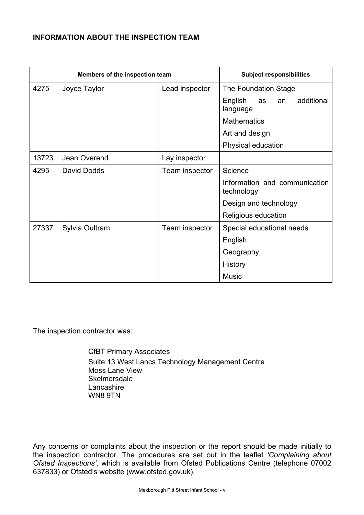### **INFORMATION ABOUT THE INSPECTION TEAM**

| Members of the inspection team |                |                | <b>Subject responsibilities</b>               |  |  |
|--------------------------------|----------------|----------------|-----------------------------------------------|--|--|
| 4275                           | Joyce Taylor   | Lead inspector | The Foundation Stage                          |  |  |
|                                |                |                | English<br>additional<br>as<br>an<br>language |  |  |
|                                |                |                | <b>Mathematics</b>                            |  |  |
|                                |                |                | Art and design                                |  |  |
|                                |                |                | Physical education                            |  |  |
| 13723                          | Jean Overend   | Lay inspector  |                                               |  |  |
| 4295                           | David Dodds    | Team inspector | Science                                       |  |  |
|                                |                |                | Information and communication<br>technology   |  |  |
|                                |                |                | Design and technology                         |  |  |
|                                |                |                | Religious education                           |  |  |
| 27337                          | Sylvia Oultram | Team inspector | Special educational needs                     |  |  |
|                                |                |                | English                                       |  |  |
|                                |                |                | Geography                                     |  |  |
|                                |                |                | History                                       |  |  |
|                                |                |                | <b>Music</b>                                  |  |  |

The inspection contractor was:

 CfBT Primary Associates Suite 13 West Lancs Technology Management Centre Moss Lane View **Skelmersdale**  Lancashire WN8 9TN

Any concerns or complaints about the inspection or the report should be made initially to the inspection contractor. The procedures are set out in the leaflet *'Complaining about Ofsted Inspections'*, which is available from Ofsted Publications Centre (telephone 07002 637833) or Ofsted's website (www.ofsted.gov.uk).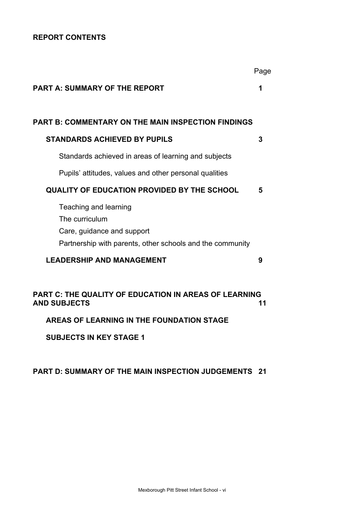## **REPORT CONTENTS**

|                                                                                     | Page |
|-------------------------------------------------------------------------------------|------|
| <b>PART A: SUMMARY OF THE REPORT</b>                                                | 1    |
|                                                                                     |      |
| <b>PART B: COMMENTARY ON THE MAIN INSPECTION FINDINGS</b>                           |      |
| <b>STANDARDS ACHIEVED BY PUPILS</b>                                                 | 3    |
| Standards achieved in areas of learning and subjects                                |      |
| Pupils' attitudes, values and other personal qualities                              |      |
| <b>QUALITY OF EDUCATION PROVIDED BY THE SCHOOL</b>                                  | 5    |
| Teaching and learning                                                               |      |
| The curriculum                                                                      |      |
| Care, guidance and support                                                          |      |
| Partnership with parents, other schools and the community                           |      |
| <b>LEADERSHIP AND MANAGEMENT</b>                                                    | 9    |
|                                                                                     |      |
| <b>PART C: THE QUALITY OF EDUCATION IN AREAS OF LEARNING</b><br><b>AND SUBJECTS</b> | 11   |
| AREAS OF LEARNING IN THE FOUNDATION STAGE                                           |      |

**SUBJECTS IN KEY STAGE 1**

#### **PART D: SUMMARY OF THE MAIN INSPECTION JUDGEMENTS 21**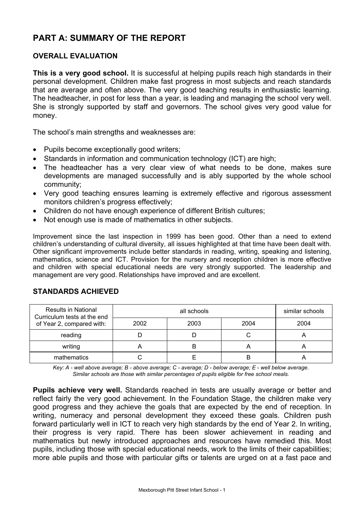# **PART A: SUMMARY OF THE REPORT**

### **OVERALL EVALUATION**

**This is a very good school.** It is successful at helping pupils reach high standards in their personal development. Children make fast progress in most subjects and reach standards that are average and often above. The very good teaching results in enthusiastic learning. The headteacher, in post for less than a year, is leading and managing the school very well. She is strongly supported by staff and governors. The school gives very good value for money.

The school's main strengths and weaknesses are:

- Pupils become exceptionally good writers;
- Standards in information and communication technology (ICT) are high;
- The headteacher has a very clear view of what needs to be done, makes sure developments are managed successfully and is ably supported by the whole school community;
- Very good teaching ensures learning is extremely effective and rigorous assessment monitors children's progress effectively;
- Children do not have enough experience of different British cultures;
- Not enough use is made of mathematics in other subjects.

Improvement since the last inspection in 1999 has been good. Other than a need to extend children's understanding of cultural diversity, all issues highlighted at that time have been dealt with. Other significant improvements include better standards in reading, writing, speaking and listening, mathematics, science and ICT. Provision for the nursery and reception children is more effective and children with special educational needs are very strongly supported. The leadership and management are very good. Relationships have improved and are excellent.

### **STANDARDS ACHIEVED**

| <b>Results in National</b><br>Curriculum tests at the end |      | similar schools |      |      |
|-----------------------------------------------------------|------|-----------------|------|------|
| of Year 2, compared with:                                 | 2002 | 2003            | 2004 | 2004 |
| reading                                                   |      |                 |      |      |
| writing                                                   |      | B               |      |      |
| mathematics                                               |      |                 |      |      |

*Key: A - well above average; B - above average; C - average; D - below average; E - well below average. Similar schools are those with similar percentages of pupils eligible for free school meals.* 

**Pupils achieve very well.** Standards reached in tests are usually average or better and reflect fairly the very good achievement. In the Foundation Stage, the children make very good progress and they achieve the goals that are expected by the end of reception. In writing, numeracy and personal development they exceed these goals. Children push forward particularly well in ICT to reach very high standards by the end of Year 2. In writing, their progress is very rapid. There has been slower achievement in reading and mathematics but newly introduced approaches and resources have remedied this. Most pupils, including those with special educational needs, work to the limits of their capabilities; more able pupils and those with particular gifts or talents are urged on at a fast pace and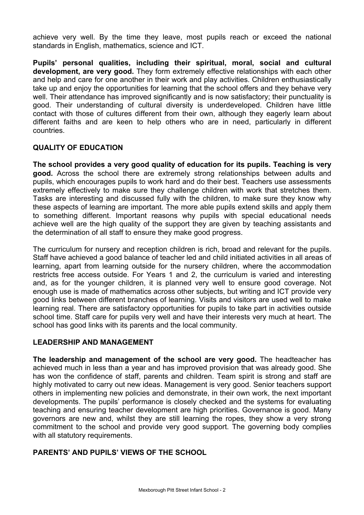achieve very well. By the time they leave, most pupils reach or exceed the national standards in English, mathematics, science and ICT.

**Pupils' personal qualities, including their spiritual, moral, social and cultural development, are very good.** They form extremely effective relationships with each other and help and care for one another in their work and play activities. Children enthusiastically take up and enjoy the opportunities for learning that the school offers and they behave very well. Their attendance has improved significantly and is now satisfactory; their punctuality is good. Their understanding of cultural diversity is underdeveloped. Children have little contact with those of cultures different from their own, although they eagerly learn about different faiths and are keen to help others who are in need, particularly in different countries.

### **QUALITY OF EDUCATION**

**The school provides a very good quality of education for its pupils. Teaching is very good.** Across the school there are extremely strong relationships between adults and pupils, which encourages pupils to work hard and do their best. Teachers use assessments extremely effectively to make sure they challenge children with work that stretches them. Tasks are interesting and discussed fully with the children, to make sure they know why these aspects of learning are important. The more able pupils extend skills and apply them to something different. Important reasons why pupils with special educational needs achieve well are the high quality of the support they are given by teaching assistants and the determination of all staff to ensure they make good progress.

The curriculum for nursery and reception children is rich, broad and relevant for the pupils. Staff have achieved a good balance of teacher led and child initiated activities in all areas of learning, apart from learning outside for the nursery children, where the accommodation restricts free access outside. For Years 1 and 2, the curriculum is varied and interesting and, as for the younger children, it is planned very well to ensure good coverage. Not enough use is made of mathematics across other subjects, but writing and ICT provide very good links between different branches of learning. Visits and visitors are used well to make learning real. There are satisfactory opportunities for pupils to take part in activities outside school time. Staff care for pupils very well and have their interests very much at heart. The school has good links with its parents and the local community.

### **LEADERSHIP AND MANAGEMENT**

**The leadership and management of the school are very good.** The headteacher has achieved much in less than a year and has improved provision that was already good. She has won the confidence of staff, parents and children. Team spirit is strong and staff are highly motivated to carry out new ideas. Management is very good. Senior teachers support others in implementing new policies and demonstrate, in their own work, the next important developments. The pupils' performance is closely checked and the systems for evaluating teaching and ensuring teacher development are high priorities. Governance is good. Many governors are new and, whilst they are still learning the ropes, they show a very strong commitment to the school and provide very good support. The governing body complies with all statutory requirements.

### **PARENTS' AND PUPILS' VIEWS OF THE SCHOOL**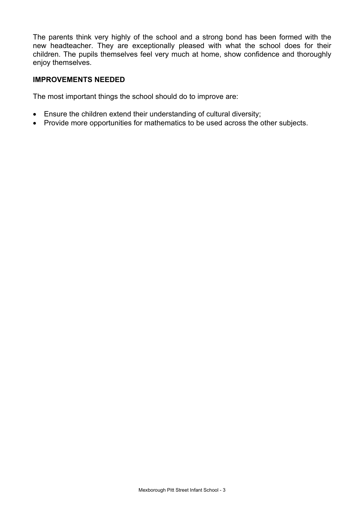The parents think very highly of the school and a strong bond has been formed with the new headteacher. They are exceptionally pleased with what the school does for their children. The pupils themselves feel very much at home, show confidence and thoroughly enjoy themselves.

### **IMPROVEMENTS NEEDED**

The most important things the school should do to improve are:

- Ensure the children extend their understanding of cultural diversity;
- Provide more opportunities for mathematics to be used across the other subjects.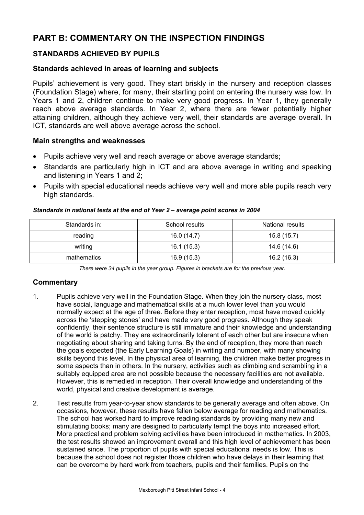# **PART B: COMMENTARY ON THE INSPECTION FINDINGS**

### **STANDARDS ACHIEVED BY PUPILS**

#### **Standards achieved in areas of learning and subjects**

Pupils' achievement is very good. They start briskly in the nursery and reception classes (Foundation Stage) where, for many, their starting point on entering the nursery was low. In Years 1 and 2, children continue to make very good progress. In Year 1, they generally reach above average standards. In Year 2, where there are fewer potentially higher attaining children, although they achieve very well, their standards are average overall. In ICT, standards are well above average across the school.

#### **Main strengths and weaknesses**

- Pupils achieve very well and reach average or above average standards;
- Standards are particularly high in ICT and are above average in writing and speaking and listening in Years 1 and 2;
- Pupils with special educational needs achieve very well and more able pupils reach very high standards.

| Standards in: | School results | <b>National results</b> |  |
|---------------|----------------|-------------------------|--|
| reading       | 16.0 (14.7)    | 15.8(15.7)              |  |
| writing       | 16.1(15.3)     | 14.6 (14.6)             |  |
| mathematics   | 16.9(15.3)     | 16.2 (16.3)             |  |

#### *Standards in national tests at the end of Year 2 – average point scores in 2004*

*There were 34 pupils in the year group. Figures in brackets are for the previous year.* 

### **Commentary**

- 1. Pupils achieve very well in the Foundation Stage. When they join the nursery class, most have social, language and mathematical skills at a much lower level than you would normally expect at the age of three. Before they enter reception, most have moved quickly across the 'stepping stones' and have made very good progress. Although they speak confidently, their sentence structure is still immature and their knowledge and understanding of the world is patchy. They are extraordinarily tolerant of each other but are insecure when negotiating about sharing and taking turns. By the end of reception, they more than reach the goals expected (the Early Learning Goals) in writing and number, with many showing skills beyond this level. In the physical area of learning, the children make better progress in some aspects than in others. In the nursery, activities such as climbing and scrambling in a suitably equipped area are not possible because the necessary facilities are not available. However, this is remedied in reception. Their overall knowledge and understanding of the world, physical and creative development is average.
- 2. Test results from year-to-year show standards to be generally average and often above. On occasions, however, these results have fallen below average for reading and mathematics. The school has worked hard to improve reading standards by providing many new and stimulating books; many are designed to particularly tempt the boys into increased effort. More practical and problem solving activities have been introduced in mathematics. In 2003, the test results showed an improvement overall and this high level of achievement has been sustained since. The proportion of pupils with special educational needs is low. This is because the school does not register those children who have delays in their learning that can be overcome by hard work from teachers, pupils and their families. Pupils on the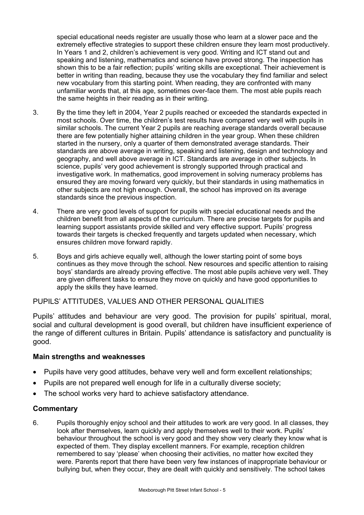special educational needs register are usually those who learn at a slower pace and the extremely effective strategies to support these children ensure they learn most productively. In Years 1 and 2, children's achievement is very good. Writing and ICT stand out and speaking and listening, mathematics and science have proved strong. The inspection has shown this to be a fair reflection; pupils' writing skills are exceptional. Their achievement is better in writing than reading, because they use the vocabulary they find familiar and select new vocabulary from this starting point. When reading, they are confronted with many unfamiliar words that, at this age, sometimes over-face them. The most able pupils reach the same heights in their reading as in their writing.

- 3. By the time they left in 2004, Year 2 pupils reached or exceeded the standards expected in most schools. Over time, the children's test results have compared very well with pupils in similar schools. The current Year 2 pupils are reaching average standards overall because there are few potentially higher attaining children in the year group. When these children started in the nursery, only a quarter of them demonstrated average standards. Their standards are above average in writing, speaking and listening, design and technology and geography, and well above average in ICT. Standards are average in other subjects. In science, pupils' very good achievement is strongly supported through practical and investigative work. In mathematics, good improvement in solving numeracy problems has ensured they are moving forward very quickly, but their standards in using mathematics in other subjects are not high enough. Overall, the school has improved on its average standards since the previous inspection.
- 4. There are very good levels of support for pupils with special educational needs and the children benefit from all aspects of the curriculum. There are precise targets for pupils and learning support assistants provide skilled and very effective support. Pupils' progress towards their targets is checked frequently and targets updated when necessary, which ensures children move forward rapidly.
- 5. Boys and girls achieve equally well, although the lower starting point of some boys continues as they move through the school. New resources and specific attention to raising boys' standards are already proving effective. The most able pupils achieve very well. They are given different tasks to ensure they move on quickly and have good opportunities to apply the skills they have learned.

### PUPILS' ATTITUDES, VALUES AND OTHER PERSONAL QUALITIES

Pupils' attitudes and behaviour are very good. The provision for pupils' spiritual, moral, social and cultural development is good overall, but children have insufficient experience of the range of different cultures in Britain. Pupils' attendance is satisfactory and punctuality is good.

#### **Main strengths and weaknesses**

- Pupils have very good attitudes, behave very well and form excellent relationships;
- Pupils are not prepared well enough for life in a culturally diverse society;
- The school works very hard to achieve satisfactory attendance.

#### **Commentary**

6. Pupils thoroughly enjoy school and their attitudes to work are very good. In all classes, they look after themselves, learn quickly and apply themselves well to their work. Pupils' behaviour throughout the school is very good and they show very clearly they know what is expected of them. They display excellent manners. For example, reception children remembered to say 'please' when choosing their activities, no matter how excited they were. Parents report that there have been very few instances of inappropriate behaviour or bullying but, when they occur, they are dealt with quickly and sensitively. The school takes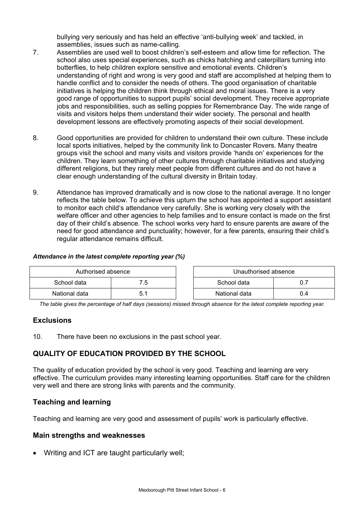bullying very seriously and has held an effective 'anti-bullying week' and tackled, in assemblies, issues such as name-calling.

- 7. Assemblies are used well to boost children's self-esteem and allow time for reflection. The school also uses special experiences, such as chicks hatching and caterpillars turning into butterflies, to help children explore sensitive and emotional events. Children's understanding of right and wrong is very good and staff are accomplished at helping them to handle conflict and to consider the needs of others. The good organisation of charitable initiatives is helping the children think through ethical and moral issues. There is a very good range of opportunities to support pupils' social development. They receive appropriate jobs and responsibilities, such as selling poppies for Remembrance Day. The wide range of visits and visitors helps them understand their wider society. The personal and health development lessons are effectively promoting aspects of their social development.
- 8. Good opportunities are provided for children to understand their own culture. These include local sports initiatives, helped by the community link to Doncaster Rovers. Many theatre groups visit the school and many visits and visitors provide 'hands on' experiences for the children. They learn something of other cultures through charitable initiatives and studying different religions, but they rarely meet people from different cultures and do not have a clear enough understanding of the cultural diversity in Britain today.
- 9. Attendance has improved dramatically and is now close to the national average. It no longer reflects the table below. To achieve this upturn the school has appointed a support assistant to monitor each child's attendance very carefully. She is working very closely with the welfare officer and other agencies to help families and to ensure contact is made on the first day of their child's absence. The school works very hard to ensure parents are aware of the need for good attendance and punctuality; however, for a few parents, ensuring their child's regular attendance remains difficult.

#### *Attendance in the latest complete reporting year (%)*

| Authorised absence |                | Unauthorised absence |     |
|--------------------|----------------|----------------------|-----|
| School data        | $^{\prime}$ .5 | School data          |     |
| National data      |                | National data        | 0.4 |

*The table gives the percentage of half days (sessions) missed through absence for the latest complete reporting year.*

### **Exclusions**

10. There have been no exclusions in the past school year.

### **QUALITY OF EDUCATION PROVIDED BY THE SCHOOL**

The quality of education provided by the school is very good. Teaching and learning are very effective. The curriculum provides many interesting learning opportunities. Staff care for the children very well and there are strong links with parents and the community.

#### **Teaching and learning**

Teaching and learning are very good and assessment of pupils' work is particularly effective.

#### **Main strengths and weaknesses**

• Writing and ICT are taught particularly well;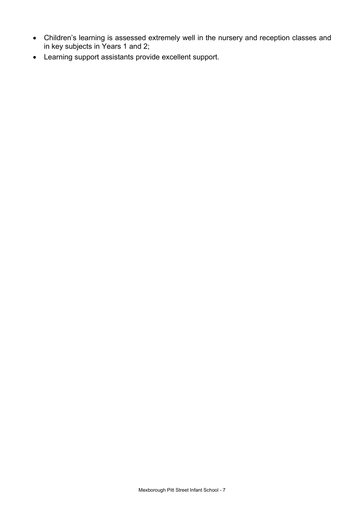- Children's learning is assessed extremely well in the nursery and reception classes and in key subjects in Years 1 and 2;
- Learning support assistants provide excellent support.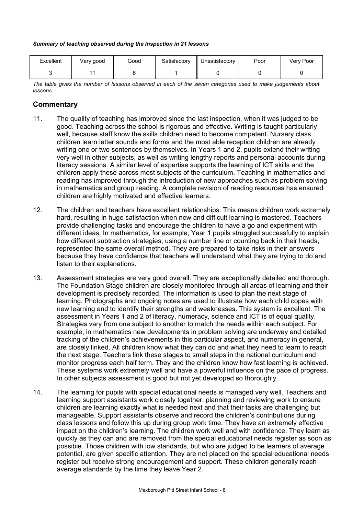#### *Summary of teaching observed during the inspection in 21 lessons*

| Excellent | Very good | Good | Satisfactory | Unsatisfactory | Poor | Very Poor |
|-----------|-----------|------|--------------|----------------|------|-----------|
|           |           |      |              |                |      |           |

*The table gives the number of lessons observed in each of the seven categories used to make judgements about lessons.* 

#### **Commentary**

- 11. The quality of teaching has improved since the last inspection, when it was judged to be good. Teaching across the school is rigorous and effective. Writing is taught particularly well, because staff know the skills children need to become competent. Nursery class children learn letter sounds and forms and the most able reception children are already writing one or two sentences by themselves. In Years 1 and 2, pupils extend their writing very well in other subjects, as well as writing lengthy reports and personal accounts during literacy sessions. A similar level of expertise supports the learning of ICT skills and the children apply these across most subjects of the curriculum. Teaching in mathematics and reading has improved through the introduction of new approaches such as problem solving in mathematics and group reading. A complete revision of reading resources has ensured children are highly motivated and effective learners.
- 12. The children and teachers have excellent relationships. This means children work extremely hard, resulting in huge satisfaction when new and difficult learning is mastered. Teachers provide challenging tasks and encourage the children to have a go and experiment with different ideas. In mathematics, for example, Year 1 pupils struggled successfully to explain how different subtraction strategies, using a number line or counting back in their heads, represented the same overall method. They are prepared to take risks in their answers because they have confidence that teachers will understand what they are trying to do and listen to their explanations.
- 13. Assessment strategies are very good overall. They are exceptionally detailed and thorough. The Foundation Stage children are closely monitored through all areas of learning and their development is precisely recorded. The information is used to plan the next stage of learning. Photographs and ongoing notes are used to illustrate how each child copes with new learning and to identify their strengths and weaknesses. This system is excellent. The assessment in Years 1 and 2 of literacy, numeracy, science and ICT is of equal quality. Strategies vary from one subject to another to match the needs within each subject. For example, in mathematics new developments in problem solving are underway and detailed tracking of the children's achievements in this particular aspect, and numeracy in general, are closely linked. All children know what they can do and what they need to learn to reach the next stage. Teachers link these stages to small steps in the national curriculum and monitor progress each half term. They and the children know how fast learning is achieved. These systems work extremely well and have a powerful influence on the pace of progress. In other subjects assessment is good but not yet developed so thoroughly.
- 14. The learning for pupils with special educational needs is managed very well. Teachers and learning support assistants work closely together, planning and reviewing work to ensure children are learning exactly what is needed next and that their tasks are challenging but manageable. Support assistants observe and record the children's contributions during class lessons and follow this up during group work time. They have an extremely effective impact on the children's learning. The children work well and with confidence. They learn as quickly as they can and are removed from the special educational needs register as soon as possible. Those children with low standards, but who are judged to be learners of average potential, are given specific attention. They are not placed on the special educational needs register but receive strong encouragement and support. These children generally reach average standards by the time they leave Year 2.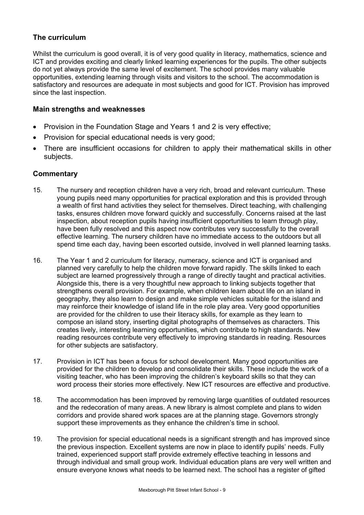### **The curriculum**

Whilst the curriculum is good overall, it is of very good quality in literacy, mathematics, science and ICT and provides exciting and clearly linked learning experiences for the pupils. The other subjects do not yet always provide the same level of excitement. The school provides many valuable opportunities, extending learning through visits and visitors to the school. The accommodation is satisfactory and resources are adequate in most subjects and good for ICT. Provision has improved since the last inspection.

#### **Main strengths and weaknesses**

- Provision in the Foundation Stage and Years 1 and 2 is very effective;
- Provision for special educational needs is very good;
- There are insufficient occasions for children to apply their mathematical skills in other subjects.

#### **Commentary**

- 15. The nursery and reception children have a very rich, broad and relevant curriculum. These young pupils need many opportunities for practical exploration and this is provided through a wealth of first hand activities they select for themselves. Direct teaching, with challenging tasks, ensures children move forward quickly and successfully. Concerns raised at the last inspection, about reception pupils having insufficient opportunities to learn through play, have been fully resolved and this aspect now contributes very successfully to the overall effective learning. The nursery children have no immediate access to the outdoors but all spend time each day, having been escorted outside, involved in well planned learning tasks.
- 16. The Year 1 and 2 curriculum for literacy, numeracy, science and ICT is organised and planned very carefully to help the children move forward rapidly. The skills linked to each subject are learned progressively through a range of directly taught and practical activities. Alongside this, there is a very thoughtful new approach to linking subjects together that strengthens overall provision. For example, when children learn about life on an island in geography, they also learn to design and make simple vehicles suitable for the island and may reinforce their knowledge of island life in the role play area. Very good opportunities are provided for the children to use their literacy skills, for example as they learn to compose an island story, inserting digital photographs of themselves as characters. This creates lively, interesting learning opportunities, which contribute to high standards. New reading resources contribute very effectively to improving standards in reading. Resources for other subjects are satisfactory.
- 17. Provision in ICT has been a focus for school development. Many good opportunities are provided for the children to develop and consolidate their skills. These include the work of a visiting teacher, who has been improving the children's keyboard skills so that they can word process their stories more effectively. New ICT resources are effective and productive.
- 18. The accommodation has been improved by removing large quantities of outdated resources and the redecoration of many areas. A new library is almost complete and plans to widen corridors and provide shared work spaces are at the planning stage. Governors strongly support these improvements as they enhance the children's time in school.
- 19. The provision for special educational needs is a significant strength and has improved since the previous inspection. Excellent systems are now in place to identify pupils' needs. Fully trained, experienced support staff provide extremely effective teaching in lessons and through individual and small group work. Individual education plans are very well written and ensure everyone knows what needs to be learned next. The school has a register of gifted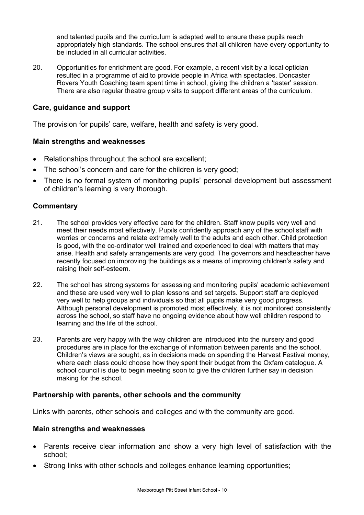and talented pupils and the curriculum is adapted well to ensure these pupils reach appropriately high standards. The school ensures that all children have every opportunity to be included in all curricular activities.

20. Opportunities for enrichment are good. For example, a recent visit by a local optician resulted in a programme of aid to provide people in Africa with spectacles. Doncaster Rovers Youth Coaching team spent time in school, giving the children a 'taster' session. There are also regular theatre group visits to support different areas of the curriculum.

#### **Care, guidance and support**

The provision for pupils' care, welfare, health and safety is very good.

#### **Main strengths and weaknesses**

- Relationships throughout the school are excellent;
- The school's concern and care for the children is very good;
- There is no formal system of monitoring pupils' personal development but assessment of children's learning is very thorough.

#### **Commentary**

- 21. The school provides very effective care for the children. Staff know pupils very well and meet their needs most effectively. Pupils confidently approach any of the school staff with worries or concerns and relate extremely well to the adults and each other. Child protection is good, with the co-ordinator well trained and experienced to deal with matters that may arise. Health and safety arrangements are very good. The governors and headteacher have recently focused on improving the buildings as a means of improving children's safety and raising their self-esteem.
- 22. The school has strong systems for assessing and monitoring pupils' academic achievement and these are used very well to plan lessons and set targets. Support staff are deployed very well to help groups and individuals so that all pupils make very good progress. Although personal development is promoted most effectively, it is not monitored consistently across the school, so staff have no ongoing evidence about how well children respond to learning and the life of the school.
- 23. Parents are very happy with the way children are introduced into the nursery and good procedures are in place for the exchange of information between parents and the school. Children's views are sought, as in decisions made on spending the Harvest Festival money, where each class could choose how they spent their budget from the Oxfam catalogue. A school council is due to begin meeting soon to give the children further say in decision making for the school.

#### **Partnership with parents, other schools and the community**

Links with parents, other schools and colleges and with the community are good.

#### **Main strengths and weaknesses**

- Parents receive clear information and show a very high level of satisfaction with the school;
- Strong links with other schools and colleges enhance learning opportunities;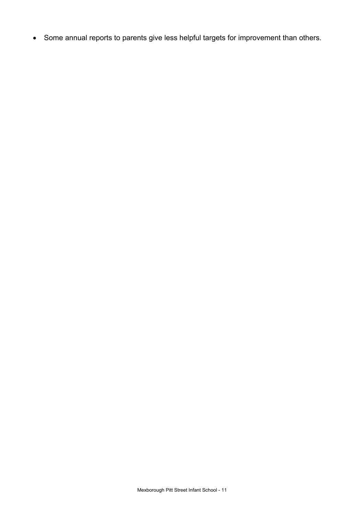• Some annual reports to parents give less helpful targets for improvement than others.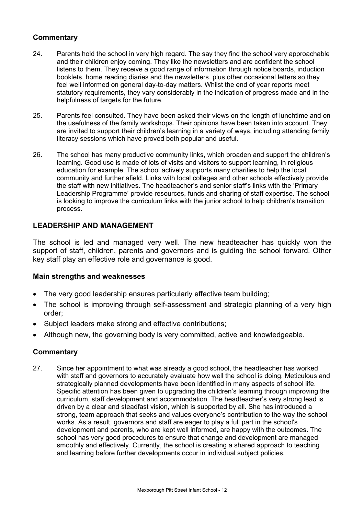### **Commentary**

- 24. Parents hold the school in very high regard. The say they find the school very approachable and their children enjoy coming. They like the newsletters and are confident the school listens to them. They receive a good range of information through notice boards, induction booklets, home reading diaries and the newsletters, plus other occasional letters so they feel well informed on general day-to-day matters. Whilst the end of year reports meet statutory requirements, they vary considerably in the indication of progress made and in the helpfulness of targets for the future.
- 25. Parents feel consulted. They have been asked their views on the length of lunchtime and on the usefulness of the family workshops. Their opinions have been taken into account. They are invited to support their children's learning in a variety of ways, including attending family literacy sessions which have proved both popular and useful.
- 26. The school has many productive community links, which broaden and support the children's learning. Good use is made of lots of visits and visitors to support learning, in religious education for example. The school actively supports many charities to help the local community and further afield. Links with local colleges and other schools effectively provide the staff with new initiatives. The headteacher's and senior staff's links with the 'Primary Leadership Programme' provide resources, funds and sharing of staff expertise. The school is looking to improve the curriculum links with the junior school to help children's transition process.

### **LEADERSHIP AND MANAGEMENT**

The school is led and managed very well. The new headteacher has quickly won the support of staff, children, parents and governors and is guiding the school forward. Other key staff play an effective role and governance is good.

### **Main strengths and weaknesses**

- The very good leadership ensures particularly effective team building;
- The school is improving through self-assessment and strategic planning of a very high order;
- Subject leaders make strong and effective contributions;
- Although new, the governing body is very committed, active and knowledgeable.

### **Commentary**

27. Since her appointment to what was already a good school, the headteacher has worked with staff and governors to accurately evaluate how well the school is doing. Meticulous and strategically planned developments have been identified in many aspects of school life. Specific attention has been given to upgrading the children's learning through improving the curriculum, staff development and accommodation. The headteacher's very strong lead is driven by a clear and steadfast vision, which is supported by all. She has introduced a strong, team approach that seeks and values everyone's contribution to the way the school works. As a result, governors and staff are eager to play a full part in the school's development and parents, who are kept well informed, are happy with the outcomes. The school has very good procedures to ensure that change and development are managed smoothly and effectively. Currently, the school is creating a shared approach to teaching and learning before further developments occur in individual subject policies.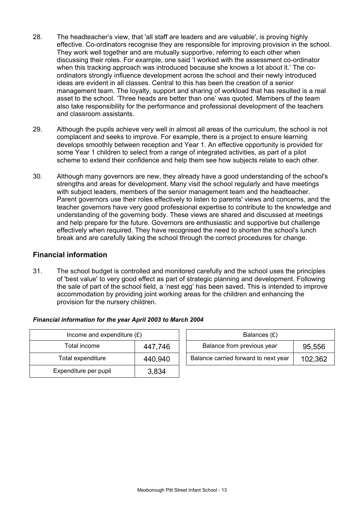- 28. The headteacher's view, that 'all staff are leaders and are valuable', is proving highly effective. Co-ordinators recognise they are responsible for improving provision in the school. They work well together and are mutually supportive, referring to each other when discussing their roles. For example, one said 'I worked with the assessment co-ordinator when this tracking approach was introduced because she knows a lot about it.' The coordinators strongly influence development across the school and their newly introduced ideas are evident in all classes. Central to this has been the creation of a senior management team. The loyalty, support and sharing of workload that has resulted is a real asset to the school. 'Three heads are better than one' was quoted. Members of the team also take responsibility for the performance and professional development of the teachers and classroom assistants.
- 29. Although the pupils achieve very well in almost all areas of the curriculum, the school is not complacent and seeks to improve. For example, there is a project to ensure learning develops smoothly between reception and Year 1. An effective opportunity is provided for some Year 1 children to select from a range of integrated activities, as part of a pilot scheme to extend their confidence and help them see how subjects relate to each other.
- 30. Although many governors are new, they already have a good understanding of the school's strengths and areas for development. Many visit the school regularly and have meetings with subject leaders, members of the senior management team and the headteacher. Parent governors use their roles effectively to listen to parents' views and concerns, and the teacher governors have very good professional expertise to contribute to the knowledge and understanding of the governing body. These views are shared and discussed at meetings and help prepare for the future. Governors are enthusiastic and supportive but challenge effectively when required. They have recognised the need to shorten the school's lunch break and are carefully taking the school through the correct procedures for change.

### **Financial information**

31. The school budget is controlled and monitored carefully and the school uses the principles of 'best value' to very good effect as part of strategic planning and development. Following the sale of part of the school field, a 'nest egg' has been saved. This is intended to improve accommodation by providing joint working areas for the children and enhancing the provision for the nursery children.

| Income and expenditure $(E)$ | Balances $(E)$ |                                   |
|------------------------------|----------------|-----------------------------------|
| Total income                 | 447,746        | Balance from previous year        |
| Total expenditure            | 440,940        | Balance carried forward to next y |
| Expenditure per pupil        | 3,834          |                                   |

| Income and expenditure $(E)$ |         |  | Balances (£)                         |         |  |
|------------------------------|---------|--|--------------------------------------|---------|--|
| Total income                 | 447,746 |  | Balance from previous year           | 95,556  |  |
| Total expenditure            | 440,940 |  | Balance carried forward to next year | 102,362 |  |

#### *Financial information for the year April 2003 to March 2004*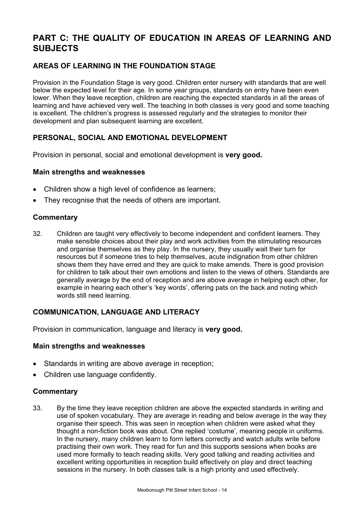# **PART C: THE QUALITY OF EDUCATION IN AREAS OF LEARNING AND SUBJECTS**

## **AREAS OF LEARNING IN THE FOUNDATION STAGE**

Provision in the Foundation Stage is very good. Children enter nursery with standards that are well below the expected level for their age. In some year groups, standards on entry have been even lower. When they leave reception, children are reaching the expected standards in all the areas of learning and have achieved very well. The teaching in both classes is very good and some teaching is excellent. The children's progress is assessed regularly and the strategies to monitor their development and plan subsequent learning are excellent.

## **PERSONAL, SOCIAL AND EMOTIONAL DEVELOPMENT**

Provision in personal, social and emotional development is **very good.**

#### **Main strengths and weaknesses**

- Children show a high level of confidence as learners;
- They recognise that the needs of others are important.

#### **Commentary**

32. Children are taught very effectively to become independent and confident learners. They make sensible choices about their play and work activities from the stimulating resources and organise themselves as they play. In the nursery, they usually wait their turn for resources but if someone tries to help themselves, acute indignation from other children shows them they have erred and they are quick to make amends. There is good provision for children to talk about their own emotions and listen to the views of others. Standards are generally average by the end of reception and are above average in helping each other, for example in hearing each other's 'key words', offering pats on the back and noting which words still need learning.

### **COMMUNICATION, LANGUAGE AND LITERACY**

Provision in communication, language and literacy is **very good.**

#### **Main strengths and weaknesses**

- Standards in writing are above average in reception;
- Children use language confidently.

### **Commentary**

33. By the time they leave reception children are above the expected standards in writing and use of spoken vocabulary. They are average in reading and below average in the way they organise their speech. This was seen in reception when children were asked what they thought a non-fiction book was about. One replied 'costume', meaning people in uniforms. In the nursery, many children learn to form letters correctly and watch adults write before practising their own work. They read for fun and this supports sessions when books are used more formally to teach reading skills. Very good talking and reading activities and excellent writing opportunities in reception build effectively on play and direct teaching sessions in the nursery. In both classes talk is a high priority and used effectively.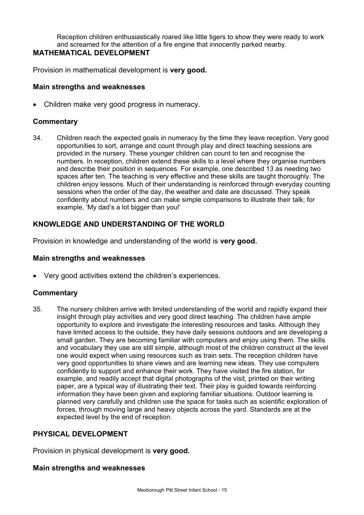Reception children enthusiastically roared like little tigers to show they were ready to work and screamed for the attention of a fire engine that innocently parked nearby.

# **MATHEMATICAL DEVELOPMENT**

Provision in mathematical development is **very good.**

#### **Main strengths and weaknesses**

• Children make very good progress in numeracy.

#### **Commentary**

34. Children reach the expected goals in numeracy by the time they leave reception. Very good opportunities to sort, arrange and count through play and direct teaching sessions are provided in the nursery. These younger children can count to ten and recognise the numbers. In reception, children extend these skills to a level where they organise numbers and describe their position in sequences. For example, one described 13 as needing two spaces after ten. The teaching is very effective and these skills are taught thoroughly. The children enjoy lessons. Much of their understanding is reinforced through everyday counting sessions when the order of the day, the weather and date are discussed. They speak confidently about numbers and can make simple comparisons to illustrate their talk; for example, 'My dad's a lot bigger than you!'

### **KNOWLEDGE AND UNDERSTANDING OF THE WORLD**

Provision in knowledge and understanding of the world is **very good.**

#### **Main strengths and weaknesses**

• Very good activities extend the children's experiences.

### **Commentary**

35. The nursery children arrive with limited understanding of the world and rapidly expand their insight through play activities and very good direct teaching. The children have ample opportunity to explore and investigate the interesting resources and tasks. Although they have limited access to the outside, they have daily sessions outdoors and are developing a small garden. They are becoming familiar with computers and enjoy using them. The skills and vocabulary they use are still simple, although most of the children construct at the level one would expect when using resources such as train sets. The reception children have very good opportunities to share views and are learning new ideas. They use computers confidently to support and enhance their work. They have visited the fire station, for example, and readily accept that digital photographs of the visit, printed on their writing paper, are a typical way of illustrating their text. Their play is guided towards reinforcing information they have been given and exploring familiar situations. Outdoor learning is planned very carefully and children use the space for tasks such as scientific exploration of forces, through moving large and heavy objects across the yard. Standards are at the expected level by the end of reception.

#### **PHYSICAL DEVELOPMENT**

Provision in physical development is **very good.**

#### **Main strengths and weaknesses**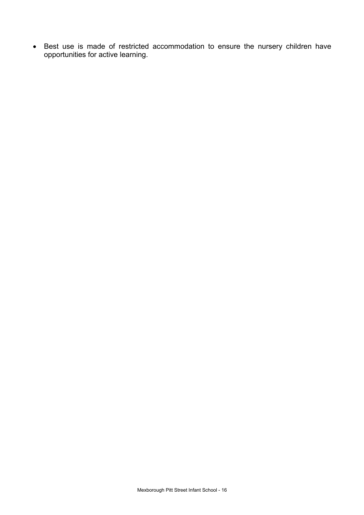• Best use is made of restricted accommodation to ensure the nursery children have opportunities for active learning.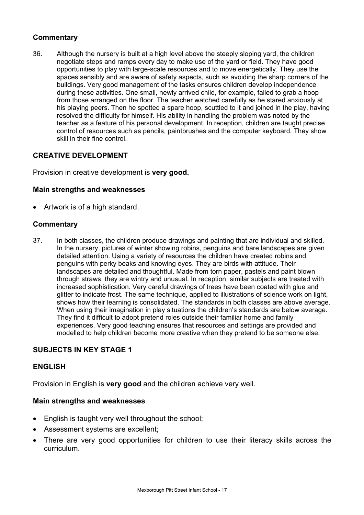### **Commentary**

36. Although the nursery is built at a high level above the steeply sloping yard, the children negotiate steps and ramps every day to make use of the yard or field. They have good opportunities to play with large-scale resources and to move energetically. They use the spaces sensibly and are aware of safety aspects, such as avoiding the sharp corners of the buildings. Very good management of the tasks ensures children develop independence during these activities. One small, newly arrived child, for example, failed to grab a hoop from those arranged on the floor. The teacher watched carefully as he stared anxiously at his playing peers. Then he spotted a spare hoop, scuttled to it and joined in the play, having resolved the difficulty for himself. His ability in handling the problem was noted by the teacher as a feature of his personal development. In reception, children are taught precise control of resources such as pencils, paintbrushes and the computer keyboard. They show skill in their fine control.

### **CREATIVE DEVELOPMENT**

Provision in creative development is **very good.**

#### **Main strengths and weaknesses**

• Artwork is of a high standard.

### **Commentary**

37. In both classes, the children produce drawings and painting that are individual and skilled. In the nursery, pictures of winter showing robins, penguins and bare landscapes are given detailed attention. Using a variety of resources the children have created robins and penguins with perky beaks and knowing eyes. They are birds with attitude. Their landscapes are detailed and thoughtful. Made from torn paper, pastels and paint blown through straws, they are wintry and unusual. In reception, similar subjects are treated with increased sophistication. Very careful drawings of trees have been coated with glue and glitter to indicate frost. The same technique, applied to illustrations of science work on light, shows how their learning is consolidated. The standards in both classes are above average. When using their imagination in play situations the children's standards are below average. They find it difficult to adopt pretend roles outside their familiar home and family experiences. Very good teaching ensures that resources and settings are provided and modelled to help children become more creative when they pretend to be someone else.

### **SUBJECTS IN KEY STAGE 1**

#### **ENGLISH**

Provision in English is **very good** and the children achieve very well.

#### **Main strengths and weaknesses**

- English is taught very well throughout the school;
- Assessment systems are excellent;
- There are very good opportunities for children to use their literacy skills across the curriculum.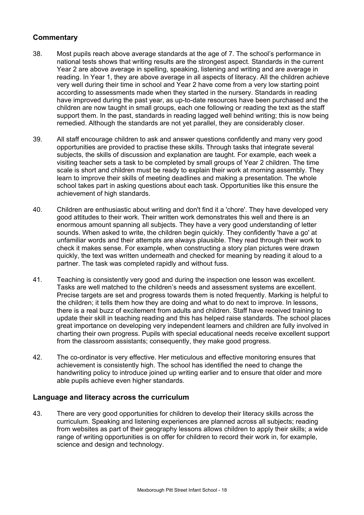### **Commentary**

- 38. Most pupils reach above average standards at the age of 7. The school's performance in national tests shows that writing results are the strongest aspect. Standards in the current Year 2 are above average in spelling, speaking, listening and writing and are average in reading. In Year 1, they are above average in all aspects of literacy. All the children achieve very well during their time in school and Year 2 have come from a very low starting point according to assessments made when they started in the nursery. Standards in reading have improved during the past year, as up-to-date resources have been purchased and the children are now taught in small groups, each one following or reading the text as the staff support them. In the past, standards in reading lagged well behind writing; this is now being remedied. Although the standards are not yet parallel, they are considerably closer.
- 39. All staff encourage children to ask and answer questions confidently and many very good opportunities are provided to practise these skills. Through tasks that integrate several subjects, the skills of discussion and explanation are taught. For example, each week a visiting teacher sets a task to be completed by small groups of Year 2 children. The time scale is short and children must be ready to explain their work at morning assembly. They learn to improve their skills of meeting deadlines and making a presentation. The whole school takes part in asking questions about each task. Opportunities like this ensure the achievement of high standards.
- 40. Children are enthusiastic about writing and don't find it a 'chore'. They have developed very good attitudes to their work. Their written work demonstrates this well and there is an enormous amount spanning all subjects. They have a very good understanding of letter sounds. When asked to write, the children begin quickly. They confidently 'have a go' at unfamiliar words and their attempts are always plausible. They read through their work to check it makes sense. For example, when constructing a story plan pictures were drawn quickly, the text was written underneath and checked for meaning by reading it aloud to a partner. The task was completed rapidly and without fuss.
- 41. Teaching is consistently very good and during the inspection one lesson was excellent. Tasks are well matched to the children's needs and assessment systems are excellent. Precise targets are set and progress towards them is noted frequently. Marking is helpful to the children; it tells them how they are doing and what to do next to improve. In lessons, there is a real buzz of excitement from adults and children. Staff have received training to update their skill in teaching reading and this has helped raise standards. The school places great importance on developing very independent learners and children are fully involved in charting their own progress. Pupils with special educational needs receive excellent support from the classroom assistants; consequently, they make good progress.
- 42. The co-ordinator is very effective. Her meticulous and effective monitoring ensures that achievement is consistently high. The school has identified the need to change the handwriting policy to introduce joined up writing earlier and to ensure that older and more able pupils achieve even higher standards.

#### **Language and literacy across the curriculum**

43. There are very good opportunities for children to develop their literacy skills across the curriculum. Speaking and listening experiences are planned across all subjects; reading from websites as part of their geography lessons allows children to apply their skills; a wide range of writing opportunities is on offer for children to record their work in, for example, science and design and technology.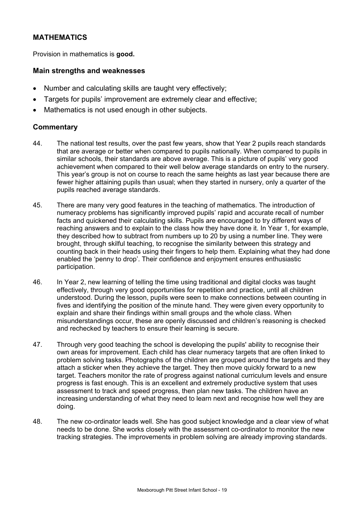### **MATHEMATICS**

Provision in mathematics is **good.**

#### **Main strengths and weaknesses**

- Number and calculating skills are taught very effectively;
- Targets for pupils' improvement are extremely clear and effective;
- Mathematics is not used enough in other subjects.

### **Commentary**

- 44. The national test results, over the past few years, show that Year 2 pupils reach standards that are average or better when compared to pupils nationally. When compared to pupils in similar schools, their standards are above average. This is a picture of pupils' very good achievement when compared to their well below average standards on entry to the nursery. This year's group is not on course to reach the same heights as last year because there are fewer higher attaining pupils than usual; when they started in nursery, only a quarter of the pupils reached average standards.
- 45. There are many very good features in the teaching of mathematics. The introduction of numeracy problems has significantly improved pupils' rapid and accurate recall of number facts and quickened their calculating skills. Pupils are encouraged to try different ways of reaching answers and to explain to the class how they have done it. In Year 1, for example, they described how to subtract from numbers up to 20 by using a number line. They were brought, through skilful teaching, to recognise the similarity between this strategy and counting back in their heads using their fingers to help them. Explaining what they had done enabled the 'penny to drop'. Their confidence and enjoyment ensures enthusiastic participation.
- 46. In Year 2, new learning of telling the time using traditional and digital clocks was taught effectively, through very good opportunities for repetition and practice, until all children understood. During the lesson, pupils were seen to make connections between counting in fives and identifying the position of the minute hand. They were given every opportunity to explain and share their findings within small groups and the whole class. When misunderstandings occur, these are openly discussed and children's reasoning is checked and rechecked by teachers to ensure their learning is secure.
- 47. Through very good teaching the school is developing the pupils' ability to recognise their own areas for improvement. Each child has clear numeracy targets that are often linked to problem solving tasks. Photographs of the children are grouped around the targets and they attach a sticker when they achieve the target. They then move quickly forward to a new target. Teachers monitor the rate of progress against national curriculum levels and ensure progress is fast enough. This is an excellent and extremely productive system that uses assessment to track and speed progress, then plan new tasks. The children have an increasing understanding of what they need to learn next and recognise how well they are doing.
- 48. The new co-ordinator leads well. She has good subject knowledge and a clear view of what needs to be done. She works closely with the assessment co-ordinator to monitor the new tracking strategies. The improvements in problem solving are already improving standards.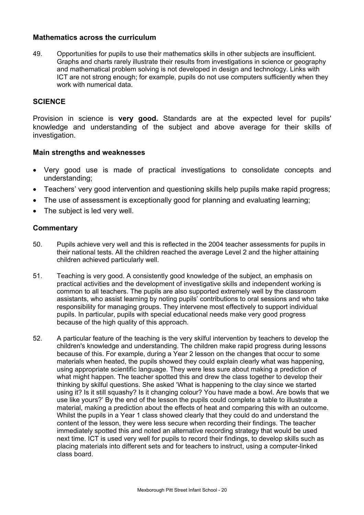#### **Mathematics across the curriculum**

49. Opportunities for pupils to use their mathematics skills in other subjects are insufficient. Graphs and charts rarely illustrate their results from investigations in science or geography and mathematical problem solving is not developed in design and technology. Links with ICT are not strong enough; for example, pupils do not use computers sufficiently when they work with numerical data.

#### **SCIENCE**

Provision in science is **very good.** Standards are at the expected level for pupils' knowledge and understanding of the subject and above average for their skills of investigation.

#### **Main strengths and weaknesses**

- Very good use is made of practical investigations to consolidate concepts and understanding;
- Teachers' very good intervention and questioning skills help pupils make rapid progress;
- The use of assessment is exceptionally good for planning and evaluating learning;
- The subject is led very well.

#### **Commentary**

- 50. Pupils achieve very well and this is reflected in the 2004 teacher assessments for pupils in their national tests. All the children reached the average Level 2 and the higher attaining children achieved particularly well.
- 51. Teaching is very good. A consistently good knowledge of the subject, an emphasis on practical activities and the development of investigative skills and independent working is common to all teachers. The pupils are also supported extremely well by the classroom assistants, who assist learning by noting pupils' contributions to oral sessions and who take responsibility for managing groups. They intervene most effectively to support individual pupils. In particular, pupils with special educational needs make very good progress because of the high quality of this approach.
- 52. A particular feature of the teaching is the very skilful intervention by teachers to develop the children's knowledge and understanding. The children make rapid progress during lessons because of this. For example, during a Year 2 lesson on the changes that occur to some materials when heated, the pupils showed they could explain clearly what was happening, using appropriate scientific language. They were less sure about making a prediction of what might happen. The teacher spotted this and drew the class together to develop their thinking by skilful questions. She asked 'What is happening to the clay since we started using it? Is it still squashy? Is it changing colour? You have made a bowl. Are bowls that we use like yours?' By the end of the lesson the pupils could complete a table to illustrate a material, making a prediction about the effects of heat and comparing this with an outcome. Whilst the pupils in a Year 1 class showed clearly that they could do and understand the content of the lesson, they were less secure when recording their findings. The teacher immediately spotted this and noted an alternative recording strategy that would be used next time. ICT is used very well for pupils to record their findings, to develop skills such as placing materials into different sets and for teachers to instruct, using a computer-linked class board.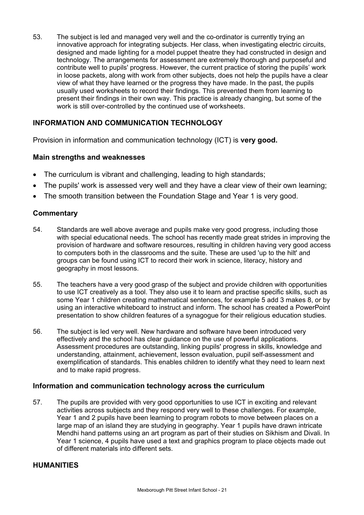53. The subject is led and managed very well and the co-ordinator is currently trying an innovative approach for integrating subjects. Her class, when investigating electric circuits, designed and made lighting for a model puppet theatre they had constructed in design and technology. The arrangements for assessment are extremely thorough and purposeful and contribute well to pupils' progress. However, the current practice of storing the pupils' work in loose packets, along with work from other subjects, does not help the pupils have a clear view of what they have learned or the progress they have made. In the past, the pupils usually used worksheets to record their findings. This prevented them from learning to present their findings in their own way. This practice is already changing, but some of the work is still over-controlled by the continued use of worksheets.

### **INFORMATION AND COMMUNICATION TECHNOLOGY**

Provision in information and communication technology (ICT) is **very good.**

#### **Main strengths and weaknesses**

- The curriculum is vibrant and challenging, leading to high standards;
- The pupils' work is assessed very well and they have a clear view of their own learning;
- The smooth transition between the Foundation Stage and Year 1 is very good.

#### **Commentary**

- 54. Standards are well above average and pupils make very good progress, including those with special educational needs. The school has recently made great strides in improving the provision of hardware and software resources, resulting in children having very good access to computers both in the classrooms and the suite. These are used 'up to the hilt' and groups can be found using ICT to record their work in science, literacy, history and geography in most lessons.
- 55. The teachers have a very good grasp of the subject and provide children with opportunities to use ICT creatively as a tool. They also use it to learn and practise specific skills, such as some Year 1 children creating mathematical sentences, for example 5 add 3 makes 8, or by using an interactive whiteboard to instruct and inform. The school has created a PowerPoint presentation to show children features of a synagogue for their religious education studies.
- 56. The subject is led very well. New hardware and software have been introduced very effectively and the school has clear guidance on the use of powerful applications. Assessment procedures are outstanding, linking pupils' progress in skills, knowledge and understanding, attainment, achievement, lesson evaluation, pupil self-assessment and exemplification of standards. This enables children to identify what they need to learn next and to make rapid progress.

#### **Information and communication technology across the curriculum**

57. The pupils are provided with very good opportunities to use ICT in exciting and relevant activities across subjects and they respond very well to these challenges. For example, Year 1 and 2 pupils have been learning to program robots to move between places on a large map of an island they are studying in geography. Year 1 pupils have drawn intricate Mendhi hand patterns using an art program as part of their studies on Sikhism and Divali. In Year 1 science, 4 pupils have used a text and graphics program to place objects made out of different materials into different sets.

### **HUMANITIES**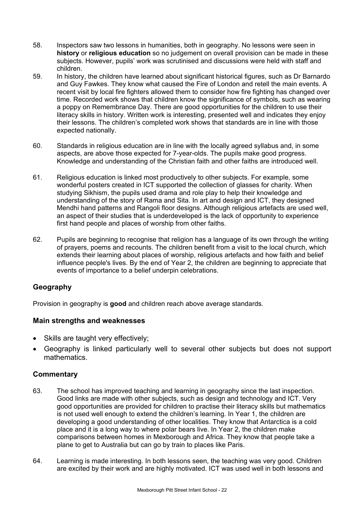- 58. Inspectors saw two lessons in humanities, both in geography. No lessons were seen in **history** or **religious education** so no judgement on overall provision can be made in these subjects. However, pupils' work was scrutinised and discussions were held with staff and children.
- 59. In history, the children have learned about significant historical figures, such as Dr Barnardo and Guy Fawkes. They know what caused the Fire of London and retell the main events. A recent visit by local fire fighters allowed them to consider how fire fighting has changed over time. Recorded work shows that children know the significance of symbols, such as wearing a poppy on Remembrance Day. There are good opportunities for the children to use their literacy skills in history. Written work is interesting, presented well and indicates they enjoy their lessons. The children's completed work shows that standards are in line with those expected nationally.
- 60. Standards in religious education are in line with the locally agreed syllabus and, in some aspects, are above those expected for 7-year-olds. The pupils make good progress. Knowledge and understanding of the Christian faith and other faiths are introduced well.
- 61. Religious education is linked most productively to other subjects. For example, some wonderful posters created in ICT supported the collection of glasses for charity. When studying Sikhism, the pupils used drama and role play to help their knowledge and understanding of the story of Rama and Sita. In art and design and ICT, they designed Mendhi hand patterns and Rangoli floor designs. Although religious artefacts are used well, an aspect of their studies that is underdeveloped is the lack of opportunity to experience first hand people and places of worship from other faiths.
- 62. Pupils are beginning to recognise that religion has a language of its own through the writing of prayers, poems and recounts. The children benefit from a visit to the local church, which extends their learning about places of worship, religious artefacts and how faith and belief influence people's lives. By the end of Year 2, the children are beginning to appreciate that events of importance to a belief underpin celebrations.

## **Geography**

Provision in geography is **good** and children reach above average standards.

#### **Main strengths and weaknesses**

- Skills are taught very effectively;
- Geography is linked particularly well to several other subjects but does not support mathematics.

### **Commentary**

- 63. The school has improved teaching and learning in geography since the last inspection. Good links are made with other subjects, such as design and technology and ICT. Very good opportunities are provided for children to practise their literacy skills but mathematics is not used well enough to extend the children's learning. In Year 1, the children are developing a good understanding of other localities. They know that Antarctica is a cold place and it is a long way to where polar bears live. In Year 2, the children make comparisons between homes in Mexborough and Africa. They know that people take a plane to get to Australia but can go by train to places like Paris.
- 64. Learning is made interesting. In both lessons seen, the teaching was very good. Children are excited by their work and are highly motivated. ICT was used well in both lessons and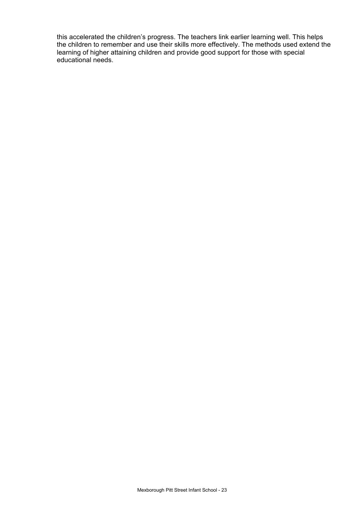this accelerated the children's progress. The teachers link earlier learning well. This helps the children to remember and use their skills more effectively. The methods used extend the learning of higher attaining children and provide good support for those with special educational needs.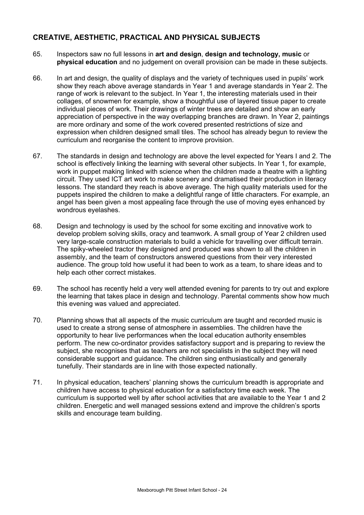### **CREATIVE, AESTHETIC, PRACTICAL AND PHYSICAL SUBJECTS**

- 65. Inspectors saw no full lessons in **art and design**, **design and technology, music** or **physical education** and no judgement on overall provision can be made in these subjects.
- 66. In art and design, the quality of displays and the variety of techniques used in pupils' work show they reach above average standards in Year 1 and average standards in Year 2. The range of work is relevant to the subject. In Year 1, the interesting materials used in their collages, of snowmen for example, show a thoughtful use of layered tissue paper to create individual pieces of work. Their drawings of winter trees are detailed and show an early appreciation of perspective in the way overlapping branches are drawn. In Year 2, paintings are more ordinary and some of the work covered presented restrictions of size and expression when children designed small tiles. The school has already begun to review the curriculum and reorganise the content to improve provision.
- 67. The standards in design and technology are above the level expected for Years I and 2. The school is effectively linking the learning with several other subjects. In Year 1, for example, work in puppet making linked with science when the children made a theatre with a lighting circuit. They used ICT art work to make scenery and dramatised their production in literacy lessons. The standard they reach is above average. The high quality materials used for the puppets inspired the children to make a delightful range of little characters. For example, an angel has been given a most appealing face through the use of moving eyes enhanced by wondrous eyelashes.
- 68. Design and technology is used by the school for some exciting and innovative work to develop problem solving skills, oracy and teamwork. A small group of Year 2 children used very large-scale construction materials to build a vehicle for travelling over difficult terrain. The spiky-wheeled tractor they designed and produced was shown to all the children in assembly, and the team of constructors answered questions from their very interested audience. The group told how useful it had been to work as a team, to share ideas and to help each other correct mistakes.
- 69. The school has recently held a very well attended evening for parents to try out and explore the learning that takes place in design and technology. Parental comments show how much this evening was valued and appreciated.
- 70. Planning shows that all aspects of the music curriculum are taught and recorded music is used to create a strong sense of atmosphere in assemblies. The children have the opportunity to hear live performances when the local education authority ensembles perform. The new co-ordinator provides satisfactory support and is preparing to review the subject, she recognises that as teachers are not specialists in the subject they will need considerable support and guidance. The children sing enthusiastically and generally tunefully. Their standards are in line with those expected nationally.
- 71. In physical education, teachers' planning shows the curriculum breadth is appropriate and children have access to physical education for a satisfactory time each week. The curriculum is supported well by after school activities that are available to the Year 1 and 2 children. Energetic and well managed sessions extend and improve the children's sports skills and encourage team building.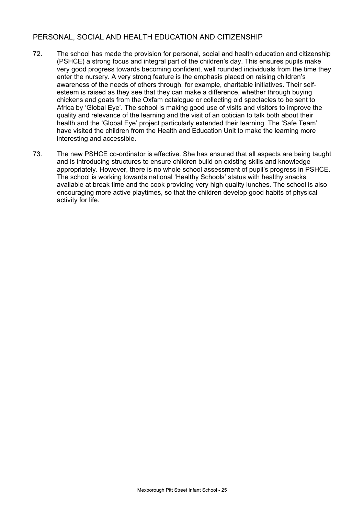### PERSONAL, SOCIAL AND HEALTH EDUCATION AND CITIZENSHIP

- 72. The school has made the provision for personal, social and health education and citizenship (PSHCE) a strong focus and integral part of the children's day. This ensures pupils make very good progress towards becoming confident, well rounded individuals from the time they enter the nursery. A very strong feature is the emphasis placed on raising children's awareness of the needs of others through, for example, charitable initiatives. Their selfesteem is raised as they see that they can make a difference, whether through buying chickens and goats from the Oxfam catalogue or collecting old spectacles to be sent to Africa by 'Global Eye'. The school is making good use of visits and visitors to improve the quality and relevance of the learning and the visit of an optician to talk both about their health and the 'Global Eye' project particularly extended their learning. The 'Safe Team' have visited the children from the Health and Education Unit to make the learning more interesting and accessible.
- 73. The new PSHCE co-ordinator is effective. She has ensured that all aspects are being taught and is introducing structures to ensure children build on existing skills and knowledge appropriately. However, there is no whole school assessment of pupil's progress in PSHCE. The school is working towards national 'Healthy Schools' status with healthy snacks available at break time and the cook providing very high quality lunches. The school is also encouraging more active playtimes, so that the children develop good habits of physical activity for life.